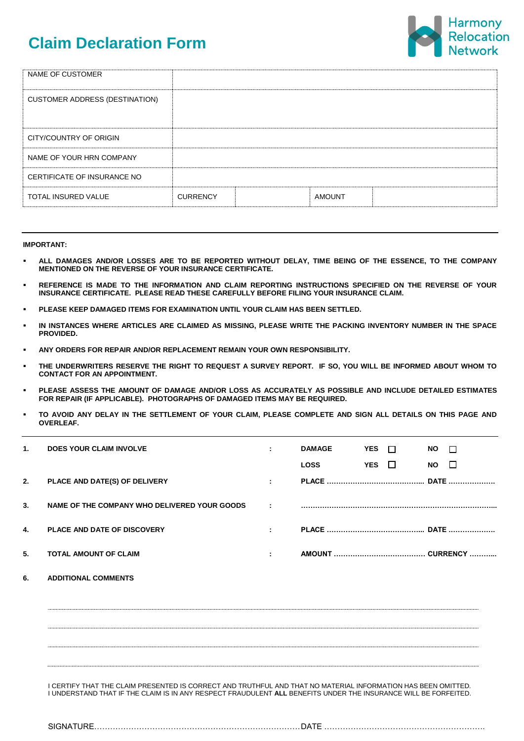# **Claim Declaration Form**



| NAME OF CUSTOMER                      |                 |               |  |
|---------------------------------------|-----------------|---------------|--|
| <b>CUSTOMER ADDRESS (DESTINATION)</b> |                 |               |  |
|                                       |                 |               |  |
| CITY/COUNTRY OF ORIGIN                |                 |               |  |
| NAME OF YOUR HRN COMPANY              |                 |               |  |
| CERTIFICATE OF INSURANCE NO           |                 |               |  |
| <b>TOTAL INSURED VALUE</b>            | <b>CURRENCY</b> | <b>AMOUNT</b> |  |

## **IMPORTANT:**

- **ALL DAMAGES AND/OR LOSSES ARE TO BE REPORTED WITHOUT DELAY, TIME BEING OF THE ESSENCE, TO THE COMPANY MENTIONED ON THE REVERSE OF YOUR INSURANCE CERTIFICATE.**
- **REFERENCE IS MADE TO THE INFORMATION AND CLAIM REPORTING INSTRUCTIONS SPECIFIED ON THE REVERSE OF YOUR INSURANCE CERTIFICATE. PLEASE READ THESE CAREFULLY BEFORE FILING YOUR INSURANCE CLAIM.**
- **PLEASE KEEP DAMAGED ITEMS FOR EXAMINATION UNTIL YOUR CLAIM HAS BEEN SETTLED.**
- **IN INSTANCES WHERE ARTICLES ARE CLAIMED AS MISSING, PLEASE WRITE THE PACKING INVENTORY NUMBER IN THE SPACE PROVIDED.**
- **ANY ORDERS FOR REPAIR AND/OR REPLACEMENT REMAIN YOUR OWN RESPONSIBILITY.**
- **THE UNDERWRITERS RESERVE THE RIGHT TO REQUEST A SURVEY REPORT. IF SO, YOU WILL BE INFORMED ABOUT WHOM TO CONTACT FOR AN APPOINTMENT.**
- **PLEASE ASSESS THE AMOUNT OF DAMAGE AND/OR LOSS AS ACCURATELY AS POSSIBLE AND INCLUDE DETAILED ESTIMATES FOR REPAIR (IF APPLICABLE). PHOTOGRAPHS OF DAMAGED ITEMS MAY BE REQUIRED.**
- **TO AVOID ANY DELAY IN THE SETTLEMENT OF YOUR CLAIM, PLEASE COMPLETE AND SIGN ALL DETAILS ON THIS PAGE AND OVERLEAF.**

| $\mathbf{1}$ . | <b>DOES YOUR CLAIM INVOLVE</b>                                                                                                                                                                                                   | ÷  | <b>DAMAGE</b> | <b>YES</b> | $\Box$ | <b>NO</b> | $\Box$ |
|----------------|----------------------------------------------------------------------------------------------------------------------------------------------------------------------------------------------------------------------------------|----|---------------|------------|--------|-----------|--------|
|                |                                                                                                                                                                                                                                  |    | <b>LOSS</b>   | YES $\Box$ |        | <b>NO</b> | $\Box$ |
| 2.             | PLACE AND DATE(S) OF DELIVERY                                                                                                                                                                                                    | ÷. |               |            |        |           |        |
| 3.             | NAME OF THE COMPANY WHO DELIVERED YOUR GOODS                                                                                                                                                                                     | ÷  |               |            |        |           |        |
| 4.             | PLACE AND DATE OF DISCOVERY                                                                                                                                                                                                      | ÷. |               |            |        |           |        |
| 5.             | <b>TOTAL AMOUNT OF CLAIM</b>                                                                                                                                                                                                     |    |               |            |        |           |        |
| 6.             | <b>ADDITIONAL COMMENTS</b>                                                                                                                                                                                                       |    |               |            |        |           |        |
|                |                                                                                                                                                                                                                                  |    |               |            |        |           |        |
|                |                                                                                                                                                                                                                                  |    |               |            |        |           |        |
|                |                                                                                                                                                                                                                                  |    |               |            |        |           |        |
|                | I CERTIFY THAT THE CLAIM PRESENTED IS CORRECT AND TRUTHFUL AND THAT NO MATERIAL INFORMATION HAS BEEN OMITTED.<br>I UNDERSTAND THAT IF THE CLAIM IS IN ANY RESPECT FRAUDULENT ALL BENEFITS UNDER THE INSURANCE WILL BE FORFEITED. |    |               |            |        |           |        |
|                |                                                                                                                                                                                                                                  |    |               |            |        |           |        |